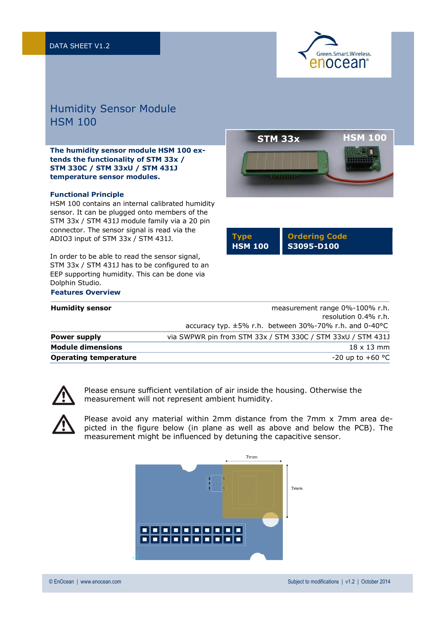

## Humidity Sensor Module HSM 100

**The humidity sensor module HSM 100 extends the functionality of STM 33x / STM 330C / STM 33xU / STM 431J temperature sensor modules.**

## **Functional Principle**

**Features Overview**

HSM 100 contains an internal calibrated humidity sensor. It can be plugged onto members of the STM 33x / STM 431J module family via a 20 pin connector. The sensor signal is read via the ADIO3 input of STM 33x / STM 431J.

In order to be able to read the sensor signal, STM 33x / STM 431J has to be configured to an EEP supporting humidity. This can be done via Dolphin Studio.



| <b>T</b> vpe   | <b>Ordering Code</b> |
|----------------|----------------------|
| <b>HSM 100</b> | l S3095-D100         |

| <b>Humidity sensor</b>       | measurement range 0%-100% r.h.<br>resolution 0.4% r.h.      |
|------------------------------|-------------------------------------------------------------|
|                              | accuracy typ. $\pm$ 5% r.h. between 30%-70% r.h. and 0-40°C |
| Power supply                 | via SWPWR pin from STM 33x / STM 330C / STM 33xU / STM 431J |
| <b>Module dimensions</b>     | $18 \times 13$ mm                                           |
| <b>Operating temperature</b> | $-20$ up to $+60$ °C                                        |



Please ensure sufficient ventilation of air inside the housing. Otherwise the measurement will not represent ambient humidity.



Please avoid any material within 2mm distance from the 7mm x 7mm area depicted in the figure below (in plane as well as above and below the PCB). The measurement might be influenced by detuning the capacitive sensor.